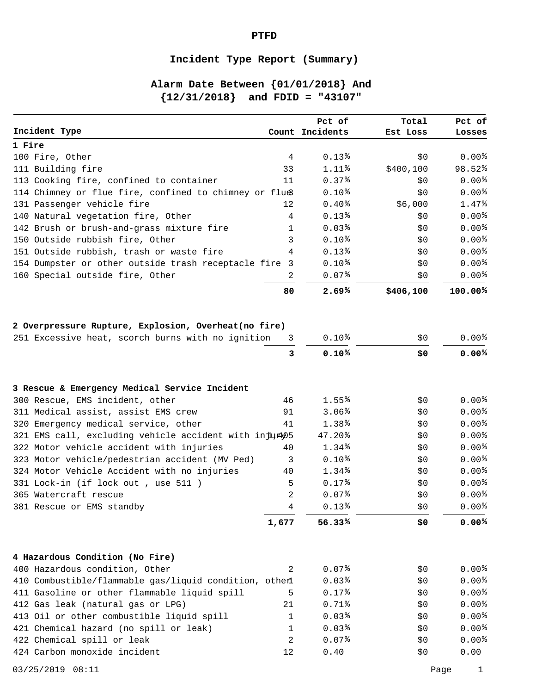## **Incident Type Report (Summary)**

# **Alarm Date Between {01/01/2018} And {12/31/2018} and FDID = "43107"**

|                                                        |                     | Pct of              | Total     | Pct of         |
|--------------------------------------------------------|---------------------|---------------------|-----------|----------------|
| Incident Type                                          |                     | Count Incidents     | Est Loss  | Losses         |
| 1 Fire                                                 |                     |                     |           |                |
| 100 Fire, Other                                        | 4                   | $0.13*$             | \$0       | 0.00%          |
| 111 Building fire                                      | 33                  | $1.11$ $%$          | \$400,100 | 98.52%         |
| 113 Cooking fire, confined to container                | 11                  | 0.37%               | \$0       | 0.00%          |
| 114 Chimney or flue fire, confined to chimney or flue  |                     | 0.10 <sup>8</sup>   | \$0       | 0.00%          |
| 131 Passenger vehicle fire                             | 12                  | 0.40%               | \$6,000   | 1.47%          |
| 140 Natural vegetation fire, Other                     | 4                   | $0.13*$             | \$0       | 0.00%          |
| 142 Brush or brush-and-grass mixture fire              | 1                   | 0.03%               | \$0       | 0.00%          |
| 150 Outside rubbish fire, Other                        | 3                   | $0.10*$             | \$0       | 0.00%          |
| 151 Outside rubbish, trash or waste fire               | 4                   | $0.13*$             | \$0       | 0.00%          |
| 154 Dumpster or other outside trash receptacle fire 3  |                     | 0.10 <sup>8</sup>   | \$0       | 0.00%          |
| 160 Special outside fire, Other                        | 2                   | 0.07%               | \$0       | $0.00$ $%$     |
|                                                        | 80                  | 2.69%               | \$406,100 | 100.00%        |
|                                                        |                     |                     |           |                |
| 2 Overpressure Rupture, Explosion, Overheat(no fire)   |                     |                     |           |                |
| 251 Excessive heat, scorch burns with no ignition      | 3                   | 0.10 <sup>8</sup>   | \$0       | 0.00%          |
|                                                        | 3                   | 0.10%               | \$0       | 0.00%          |
|                                                        |                     |                     |           |                |
| 3 Rescue & Emergency Medical Service Incident          |                     |                     |           |                |
| 300 Rescue, EMS incident, other                        | 46                  | 1.55%               | \$0       | $0.00\%$       |
| 311 Medical assist, assist EMS crew                    | 91                  | 3.06%               | \$0       | 0.00%          |
| 320 Emergency medical service, other                   | 41                  | 1.38%               | \$0       | 0.00%          |
| 321 EMS call, excluding vehicle accident with injur405 |                     | $47.20\%$           | \$0       | $0.00\%$       |
| 322 Motor vehicle accident with injuries               | 40                  | $1.34\%$            | \$0       | $0.00\%$       |
| 323 Motor vehicle/pedestrian accident (MV Ped)         | 3                   | 0.10 <sup>8</sup>   | \$0       | 0.00%          |
| 324 Motor Vehicle Accident with no injuries            | 40                  | 1.34%               | \$0       | 0.00%          |
| 331 Lock-in (if lock out, use 511)                     | 5<br>$\overline{2}$ | $0.17$ $%$<br>0.07% | \$0       | 0.00%<br>0.00% |
| 365 Watercraft rescue                                  |                     |                     | \$0       |                |
| 381 Rescue or EMS standby                              | 4                   | $0.13*$             | \$0       | $0.00\%$       |
|                                                        | 1,677               | 56.33%              | \$0       | 0.00%          |
| 4 Hazardous Condition (No Fire)                        |                     |                     |           |                |
| 400 Hazardous condition, Other                         | 2                   | 0.07%               | \$0       | $0.00\%$       |
| 410 Combustible/flammable gas/liquid condition, other  |                     | 0.03%               | \$0       | 0.00%          |
| 411 Gasoline or other flammable liquid spill           | 5                   | 0.17%               | \$0       | 0.00%          |
| 412 Gas leak (natural gas or LPG)                      | 21                  | 0.71%               | \$0       | $0.00$ $%$     |
| 413 Oil or other combustible liquid spill              | 1                   | 0.03%               | Ş0        | 0.00%          |
| 421 Chemical hazard (no spill or leak)                 | 1                   | 0.03%               | \$0       | 0.00%          |
| 422 Chemical spill or leak                             | 2                   | 0.07%               | \$0       | $0.00\%$       |
| 424 Carbon monoxide incident                           | 12                  | 0.40                | \$0       | 0.00           |
|                                                        |                     |                     |           |                |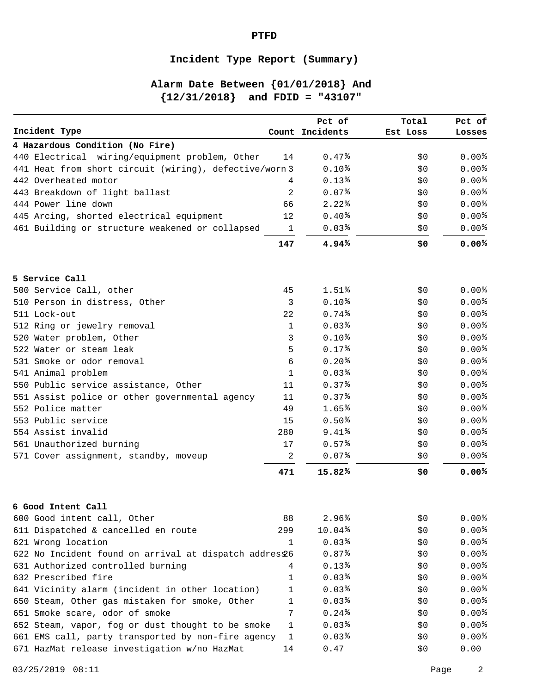## **Incident Type Report (Summary)**

**PTFD**

# **Alarm Date Between {01/01/2018} And {12/31/2018} and FDID = "43107"**

|                                                        |                  | Pct of              | Total    | Pct of            |
|--------------------------------------------------------|------------------|---------------------|----------|-------------------|
| Incident Type                                          |                  | Count Incidents     | Est Loss | Losses            |
| 4 Hazardous Condition (No Fire)                        |                  |                     |          |                   |
| 440 Electrical wiring/equipment problem, Other         | 14               | 0.47%               | \$0      | 0.00%             |
| 441 Heat from short circuit (wiring), defective/worn 3 |                  | 0.10 <sup>8</sup>   | \$0      | 0.00%             |
| 442 Overheated motor                                   | 4                | $0.13*$             | \$0      | 0.00%             |
| 443 Breakdown of light ballast                         | 2                | 0.07%               | \$0      | 0.00%             |
| 444 Power line down                                    | 66               | $2.22$ <sup>8</sup> | \$0      | 0.00%             |
| 445 Arcing, shorted electrical equipment               | 12               | 0.40%               | \$0      | 0.00%             |
| 461 Building or structure weakened or collapsed        | 1                | 0.03%               | \$0      | $0.00\%$          |
|                                                        | 147              | 4.94%               | \$0      | 0.00%             |
| 5 Service Call                                         |                  |                     |          |                   |
| 500 Service Call, other                                | 45               | $1.51\%$            | \$0      | 0.00 <sup>8</sup> |
| 510 Person in distress, Other                          | 3                | $0.10*$             | \$0      | 0.00%             |
| 511 Lock-out                                           | 22               | 0.74%               | \$0      | $0.00\%$          |
| 512 Ring or jewelry removal                            | 1                | 0.03%               | \$0      | 0.00%             |
| 520 Water problem, Other                               | 3                | $0.10*$             | \$0      | 0.00%             |
| 522 Water or steam leak                                | 5                | 0.17%               | \$0      | 0.00%             |
| 531 Smoke or odor removal                              | 6                | 0.20%               | \$0      | $0.00\%$          |
| 541 Animal problem                                     | 1                | 0.03%               | \$0      | 0.00%             |
| 550 Public service assistance, Other                   | 11               | 0.37%               | \$0      | $0.00\%$          |
| 551 Assist police or other governmental agency         | 11               | $0.37\%$            | \$0      | 0.00%             |
| 552 Police matter                                      | 49               | 1.65%               | \$0      | 0.00%             |
| 553 Public service                                     | 15               | 0.50%               | \$0      | 0.00%             |
| 554 Assist invalid                                     | 280              | 9.41%               | \$0      | 0.00%             |
| 561 Unauthorized burning                               | 17               | 0.57%               | \$0      | 0.00%             |
| 571 Cover assignment, standby, moveup                  | $\boldsymbol{2}$ | 0.07%               | \$0      | $0.00\%$          |
|                                                        | 471              | 15.82%              | \$0      | 0.00%             |
| 6 Good Intent Call                                     |                  |                     |          |                   |
| 600 Good intent call, Other                            | 88               | 2.96%               | \$0\$    | 0.00%             |
| 611 Dispatched & cancelled en route                    | 299              | 10.04%              | \$0      | 0.00%             |
| 621 Wrong location                                     | 1                | 0.03%               | \$0      | 0.00%             |
| 622 No Incident found on arrival at dispatch addres£6  |                  | 0.87%               | \$0      | 0.00%             |
| 631 Authorized controlled burning                      | 4                | $0.13*$             | \$0      | 0.00%             |
| 632 Prescribed fire                                    | 1                | 0.03%               | \$0      | 0.00%             |
| 641 Vicinity alarm (incident in other location)        | 1                | 0.03%               | \$0      | 0.00%             |
| 650 Steam, Other gas mistaken for smoke, Other         | 1                | 0.03%               | \$O      | 0.00%             |
| 651 Smoke scare, odor of smoke                         | 7                | 0.24%               | \$0      | 0.00%             |
| 652 Steam, vapor, fog or dust thought to be smoke      | 1                | 0.03%               | \$O      | 0.00%             |
| 661 EMS call, party transported by non-fire agency     | 1                | 0.03%               | \$0      | 0.00%             |
| 671 HazMat release investigation w/no HazMat           | 14               | 0.47                | \$0      | 0.00              |
|                                                        |                  |                     |          |                   |